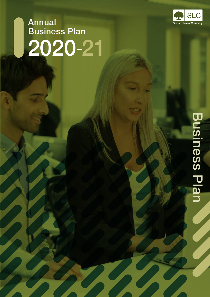

# Annual Business Plan 2020 -21

# **Business Plan** Business Plan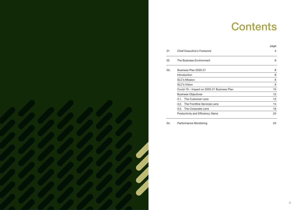| 01  | <b>Chief Executive's Foreword</b>          | $\overline{4}$ |
|-----|--------------------------------------------|----------------|
| 02  | The Business Environment                   | 6              |
| 03. | Business Plan 2020-21                      | 8              |
|     | Introduction                               | 8              |
|     | <b>SLC's Mission</b>                       | 8              |
|     | <b>SLC's Vision</b>                        | 9              |
|     | Covid-19 – Impact on 2020-21 Business Plan | 10             |
|     | <b>Business Objectives</b>                 | 12             |
|     | 3.1. The Customer Lens                     | 12             |
|     | 3.2. The Frontline Services Lens           | 14             |
|     | 3.3. The Corporate Lens                    | 16             |
|     | <b>Productivity and Efficiency Gains</b>   | 23             |

|     |                                            | page |
|-----|--------------------------------------------|------|
| 01  | Chief Executive's Foreword                 | 4    |
| 02  | The Business Environment                   | 6    |
| 03. | Business Plan 2020-21                      | 8    |
|     | Introduction                               | 8    |
|     | <b>SLC's Mission</b>                       | 8    |
|     | <b>SLC's Vision</b>                        | 9    |
|     | Covid-19 - Impact on 2020-21 Business Plan | 10   |
|     | <b>Business Objectives</b>                 | 12   |
|     | The Customer Lens<br>3.1.                  | 12   |
|     | 3.2. The Frontline Services Lens           | 14   |
|     | 3.3. The Corporate Lens                    | 16   |
|     | <b>Productivity and Efficiency Gains</b>   | 23   |
| 04. | <b>Performance Monitoring</b>              | 24   |

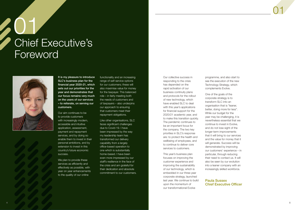# <span id="page-2-0"></span>01 Chief Executive's Foreword



It is my pleasure to introduce SLC's business plan for the financial year 2020-21, which sets out our priorities for the year and demonstrates that our focus remains very much on the users of our services – to reiterate, on serving our customers.

We plan to provide these services as efficiently and effectively as possible, with year on year enhancements to the quality of our online

Our aim continues to be to provide customers with increasingly modern, accessible and intuitive application, assessment, payment and repayment services, and by doing so enable them to invest in their personal ambitions, and by extension to invest in this country's future economic success.

functionality and an increasing range of self-service options for our customers; these will also maximise value for money for the taxpayer. This balanced role – in fairly meeting both the needs of customers and of taxpayers – also underpins our approach to ensuring that customers meet their repayment obligations.

Like other organisations, SLC faces significant challenges due to Covid-19. I have been impressed by the way my leadership team has transformed our delivery capability from a largely office-based operation to one which is substantially home-based. I have been even more impressed by our staff's resilience in the face of the crisis and am grateful for their dedication and absolute commitment to our customers.

Our collective success in responding to the crisis has depended on the rapid activation of our business continuity plans and protocols for the rollout of new technology, which have enabled SLC to deal with this year's applications for financial support for the 2020/21 academic year, and to make this transition quickly. The pandemic continues to be an important focus for the company. The two key priorities in SLC's response are: to protect the health and wellbeing of employees, and to continue to deliver core services to customers.

This year's business plan focuses on improving the customer experience and improving the sustainability of our technology, which is embedded in our three-year corporate strategy, launched last year. We continue to build upon the momentum of our transformational Evolve

programme, and also start to see the execution of the new Technology Strategy, which complements Evolve.

One of the goals of the corporate strategy is to transform SLC into an organisation that is "leaner, better, doing more for less". While our budget for the year may be challenging, it is nevertheless essential that we continue to invest in Evolve, and do not lose sight of the longer-term improvements that it will bring to our services and the value for money that it will generate. Success will be demonstrated by improving our customers' experience – in particular, through reducing their need to contact us. It will also be seen by our evolution into a leaner company with an increasingly skilled workforce.

#### Paula Sussex Chief Executive Officer

# 01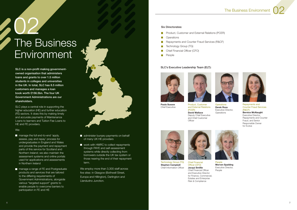# <span id="page-3-0"></span>02 The Business Environment

#### The Business Environment





SLC is a non-profit making governmentowned organisation that administers loans and grants to over 1.5 million students in colleges and universities in the UK. In total, SLC has 8.5 million customers and manages a loan book worth £156.5bn. The four UK Government Administrations are our shareholders.

SLC plays a central role in supporting the higher education (HE) and further education (FE) sectors. It does this by making timely and accurate payments of Maintenance Loans to learners and Tuition Fee Loans to HE and FE providers.

- **n** manage the full end-to-end 'apply, assess, pay and repay' process for undergraduates in England and Wales and provide the payment and repayment parts of this service for Scotland and Northern Ireland; we also maintain the assessment systems and online portals used for applications and assessments in Northern Ireland
- **n** manage a range of FE and Postgraduate products and services that are tailored to the differing requirements of Government Administrations, alongside various "targeted support" grants to enable people to overcome barriers to participation in FE and HE



#### We:

- administer bursary payments on behalf of many UK HE providers
- work with HMRC to collect repayments through PAYE and self-assessment systems while directly collecting from borrowers outside the UK tax system or those nearing the end of their repayment term.

We employ more than 3,300 staff across five sites: in Glasgow (Bothwell Street, Europa and Hillington), Darlington and Llandudno Junction.

#### Six Directorates:

- Product, Customer and External Relations (PCER)  $\mathcal{L}^{\mathcal{L}}$
- $\sim$ **Operations**
- $\sim$ Repayments and Counter Fraud Services (R&CF)
- Technology Group (TG)  $\mathcal{L}_{\mathcal{A}}$
- Chief Financial Officer (CFO)  $\mathcal{C}^{\mathcal{A}}$
- $\sim$ People

#### SLC's Executive Leadership Team (ELT):





Paula Sussex Chief Executive Product, Customer and External Relations (PCER) David Wallace

**Operations** Derek Ross Executive Director, **Operations** 



Repayments and Counter Fraud Services (R&CF)

Deputy Chief Executive and Chief Customer **Officer** 



Technology Group (TG) Stephen Campbell Chief Information Officer

Bernice McNaught Executive Director, Repayments and Counter Fraud, and Senior Responsible Owner for Evolve





Chief Financial Officer (CFO) Jacqui Smillie Chief Financial Officer and Executive Director for Finance, Commercial, Estates and Enterprise Risk & Compliance

People Morven Spalding Executive Director, People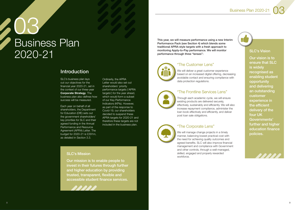# <span id="page-4-0"></span>03 Business Plan 2020-21

### **Introduction**



SLC's business plan lays out our objectives for the financial year 2020-21, set in the context of our three-year Corporate Strategy. The business plan also defines how success will be measured.

Each year on behalf of all shareholders, the Department for Education (DfE) sets out the government shareholders' key priorities for SLC and their agreed funding in the Annual Performance and Resource Agreement (APRA) Letter. The budget for 2020-21 is £291m, as detailed in Section 3.3.

Ordinarily, the APRA Letter would also set out shareholders' priority performance targets ('APRA targets') for the year ahead, which would form a subset of our Key Performance Indicators (KPIs). However, as part of the response to Covid-19, our shareholders decided to suspend these APRA targets for 2020-21 and therefore these targets are not included in the business plan.

We will deliver a great customer experience based on an increased digital offering, decreasing avoidable contact and ensuring compliance with data protection regulations.

#### SLC's Mission

Our mission is to enable people to invest in their futures through further and higher education by providing trusted, transparent, flexible and accessible student finance services.

This year, we will measure performance using a new Interim Performance Pack (see Section 4) which blends some traditional APRA-style targets with a fresh approach to monitoring Apply-to-Pay performance. We will monitor performance through three "lenses":



#### "The Customer Lens"

#### "The Frontline Services Lens"

Through each academic cycle, we will ensure existing products are delivered securely, effectively, sustainably and efficiently. We will also increase repayment compliance, administer the loan book effectively and efficiently, and deliver post loan sale obligations.

# "The Corporate Lens"

We will manage change projects in a timely manner, balancing lowest practical cost with the need for achieving quality outcomes and agreed benefits. SLC will also improve financial management and compliance with Government and other controls, through a well-managed, skilled, engaged and properly rewarded workforce.

#### SLC's Vision

Our vision is to ensure that SLC is widely recognised as enabling student opportunity and delivering an outstanding customer experience in the efficient delivery of the four UK Governments' further and higher education finance policies.

Business Plan 2020-21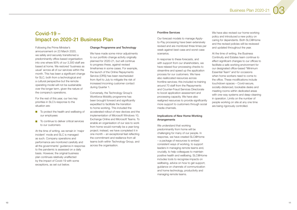### <span id="page-5-0"></span>Covid-19 – Impact on 2020-21 Business Plan

Following the Prime Minister's announcement on 23 March 2020, we safely and securely transitioned a predominantly office-based organisation into one where 90% of our 3,300 staff are based at home. We restored 'business as usual' across all of our services within the month. This has been a significant change for SLC, both from a technological and a cultural perspective but the remote operating model will not be sustainable over the longer term, given the nature of the company's operations.

- To protect the health and wellbeing of our employees
- To continue to deliver critical services to our customers

For the rest of this year, our two key priorities in SLC's response to the situation are:

We have made some minor adjustments to our portfolio change activity originally planned for 2020-21, but will continue to progress these, against revised timeframes in some cases. For example, the launch of the Online Repayments Service (ORS) has been rescheduled from April to July to mitigate the risk of increased incoming customer contact during Quarter 1.

At the time of writing, we remain in 'major incident' mode and SLC is managed as such. Company operations and performance are monitored carefully and all the governments' guidance in response to the pandemic is assessed on a daily basis. However, the original business plan continues relatively unaffected by the impact of Covid-19 with some exceptions, as set out below.

#### Change Programme and Technology

Conversely, the Technology Group's Workforce Mobility programme has been brought forward and significantly expedited to facilitate the transition to home working. This included the accelerated rollout of new devices and the implementation of Microsoft Windows 10, Exchange Online and Microsoft Teams. To enable an organisation of our size to work from home would normally be a year-long project; instead, we have completed it in one month – an exceptional feat reflecting the commitment and resilience from all teams both within Technology Group, and across the organisation.

#### Frontline Services

Our forecast models to manage Applyto-Pay processing have been extensively revised and are monitored three times per week against best-case and worst-case scenarios.

In response to these forecasts, and with support from our shareholders, we have relaxed four processing checks to streamline and speed up the application process for our customers. We have also reallocated resources across frontline services; this included re-training around 70 staff from the Repayments and Counter-Fraud Services Directorate to boost application assessment and processing capacity. We have also realigned resources to provide significantly more support to customers through social media channels.

#### Implications of New Home-Working Arrangements

We understand that working predominantly from home will be challenging for many of our people. In response, we have created SLC@Home – a package of resources to embed consistent ways of working, to support leaders in managing remote teams and, crucially, to help colleagues to maintain positive health and wellbeing. SLC@Home includes tools to recognise impacts on wellbeing, advice on how to get support, guidance on channels of communication and home technology, productivity and managing remote teams.

We have also revised our home-working policy and introduced a new policy on caring for dependants. Both SLC@Home and the revised policies will be reviewed and updated throughout the year.

At the time of writing, the Business Continuity and Estates team continue to effect significant changes to our offices to facilitate a safe working environment for our designated office-based "Minimum Essential Team" and for occasions when home workers need to come to the office. These modifications include touchdown spaces – Covid-secure, socially-distanced, bookable desks and meeting rooms within dedicated areas with one-way systems and deep-cleaning in operation. Limits on the number of people working on site at any one time are being rigorously controlled.

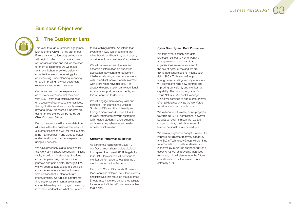### Business Objectives

<span id="page-6-0"></span>

### 3.1. The Customer Lens

This year, through Customer Engagement Management (CEM) – a key part of our Evolve transformation programme – we will begin to offer our customers more self-service options and reduce the need for them to telephone. As we move to an omni-channel service delivery organisation, we will increasingly focus on measuring, understanding, reporting on and improving how our customers experience and rate our services.

Our focus on customer experience will cover every interaction that they have with SLC – from their initial awareness or discovery of our products or services, through to the end-to-end 'apply, assess, pay and repay' processes. Our drive on customer experience will be led by our Chief Customer Officer.

During the year we will analyse data from all areas within the business that capture customer insight and will, for the first time, bring it all together in one place to better understand how customers experience using our services.

We have previously laid foundations for this work using Enterprise Design Thinking tools, to build understanding of various customer personas, their associated journeys and pain points. Through CEM, we will soon be able to capture detailed customer experience feedback in real time and use that to plan for future improvements. We will also capture real time customer sentiment analysis from our social media platform, again providing invaluable feedback on what and where

to make things better. We intend that everyone in SLC will understand that what they do and how they do it directly contributes to our customers' experience.

We take cyber security and data protection seriously. Home-working arrangements could mean that organisations are more exposed to the risk of cyber-crime and we are taking additional steps to mitigate such risks. SLC's Technology Group has strengthened existing security measures, will be implementing new controls and improving our visibility and monitoring capability. The ongoing migration from Lotus Notes to Microsoft Exchange Online will continue to add a greater level of email data security as the workforce transitions across through June.

We will improve access to clear and accessible information on our online application, payment and repayment interfaces, allowing customers to interact with us and self-serve in a fully informed way. More responsive use of IVR is already directing customers to additional extensive support on social media, and this will continue to develop.

We will engage more closely with our partners – for example the Office for Students (OfS) and the University and Colleges Admissions Service (UCAS) – to work together to provide customers with trusted student finance expertise and clear, comprehensive and easily accessible information.

#### Customer Performance Metrics

As part of the response to Covid-19, our Government shareholders decided to suspend the normal APRA targets for 2020-21. However, we will continue to monitor performance across a range of metrics, as set out in Section 4.

Each of SLC's six Directorate Business Plans contains detailed lower-level metrics and initiatives that focus on the customer. Directorates have also established targets for services to "internal" customers within their plans.

#### Cyber Security and Data Protection

We will continue to make active progress towards full GDPR compliance; however, budget constraints mean that we are obliged to delay the bulk erasure of historic personal data until next year.

We have a ringfenced budget provision to improve our disaster recovery capability and SLC's Technology Group will continue to remediate our IT estate, de-risk our platforms by improving supportability and security. As well as providing increased resilience, this will also reduce the future operational cost of the infrastructure estate by 10%.





12 and the contract of the contract of the contract of the contract of the contract of the contract of the contract of the contract of the contract of the contract of the contract of the contract of the contract of the con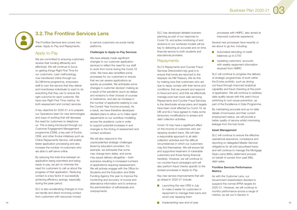<span id="page-7-0"></span>

### 3.2. The Frontline Services Lens

The Frontline Services lens covers two areas: Apply-to-Pay and Repayments.

#### Apply-to-Pay

We are committed to ensuring customers receive their funding efficiently and effectively. We will continue to focus on getting things Right First Time for our customers. Lean methodology, now transferred online through our SLC@Home programme, empowers staff to own the service that they deliver and incentivises individuals to want to do everything that they can to ensure the right outcome for each customer. We have new Right First Time metrics, for both assessment and contact services.

A key objective for 2020-21 is to prepare our Operations team for new technologies and ways of working that will decrease the need for customers to telephone us. This is being introduced through our Customer Engagement Management programme (CEM), a key part of Evolve. CEM, and other Evolve initiatives such as Online Repayments Service, will enable faster application processing and also increase the number of customers who are able to self-serve online.

We have already made significant changes to our customer application services to reflect the need for our staff to work from home during the Covid-19 crisis. We have also simplified some processes for our customers to ensure that we can assess applications as quickly as possible. We anticipate some changes in customer decision making as a result of the pandemic (such as delays and revisions to their choices of courses or institutions, and also an increase in the number of applicants seeking to use the Current Year Income process). As a result, we have therefore developed detailed plans to allow us to make rapid adjustments to our workflow modelling across the academic cycle in order to support potential increases in and changes to the timing of assessment and contact workload.

By reducing the total time between an application being submitted and being ready to pay, we aim to minimise the need for customers to call us about the progress of their application. Reducing contact is a key factor in successfully achieving efficiency savings, especially during the peak period.

SLC is also accelerating changes to how we handle and direct incoming contact from customers with resources moved

to service customers via social media platforms.

#### Challenges to Apply-to-Pay Services

- **Automated refunding of credit** balances up to £750
- **Updating customers' accounts** with weekly repayment information received from HMRC

We will also respond to the unprecedented strategic challenges faced by education providers. For example, we anticipate that some may change term dates, and some may pause delivery altogether – both scenarios resulting in increased numbers of applications requiring reassessment. We will actively engage with the Office for Students and the Education and Skills Funding Agency this year to improve the monitoring and accuracy of course and attendance information and to enhance the administration of withdrawals and overpayments.

- SLC will continue to progress the delivery of strategic programmes of work within the Evolve portfolio, such as driving out fraud through improved analytical capability and fraud checking at the point of application. We will continue to address data quality issues with this year's focus switching to root-cause prevention, as part of the Excellence in Data Programme.
- By maintaining accurate and up-to-date details of borrowers and their current employment status, we will provide a better quality of service whilst minimising leakage from the loan book.

SLC has developed detailed scenario planning as part of our response to Covid-19, and active monitoring of and revisions to our workload models will be key to delivering an accurate and on-time financial service to both students and educational providers.

#### **Repayments**

SLC's Repayments and Counter Fraud Services Directorate's key goal is to ensure that funds are returned to the taxpayer via HM Treasury. We do this by making sure that customers who are due to repay comply with their terms and conditions; that we prevent and respond to fraud and error; and that we effectively manage post loan book sale servicing. Repayments and Counter Fraud Services is the directorate whose plans and targets have been most affected by Covid-19, as DfE and SLC have agreed to make some temporary modifications to arrears and debt collection activities.

Covid-19 may have a significant effect on the income of customers who are repaying student loans. We will take a responsible approach to all debt collection activities and the difficult circumstances in which our customers may find themselves. We will ensure fair and supportive treatment of vulnerable customers and those facing financial hardship. However, we will continue to run counter-fraud campaigns and will also perform fraud checks specific to the revised processes in Apply-to-Pay.

Key new service improvements that will go ahead in 2020-21 include:

- **Launching the new ORS in July** to make it easier for customers in repayment to manage their loans and avoid over repaying them
- **14** Implementing new end-of-year **IDED 15**

- processes with HMRC, also aimed at improved customer experience
- Several new processes have recently or are about to go live, including:

#### Asset Management

SLC will continue to ensure the effective operational assurance, compliance and reporting on delegated Master Servicer obligations for all sold securitised loans; and will continue to manage the Mortgage Style Loans (MSL) deferment process on behalf of owners from past MSL debt-sales.

# **Metrics**

#### Frontline Services Performance

As with the Customer Lens, our Government shareholders decided to suspend the normal APRA targets for 2020-21. However, we will continue to monitor performance across a range of metrics, as set out in Section 4.

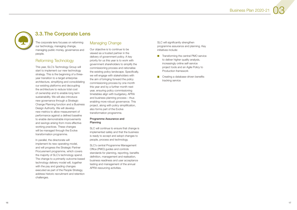<span id="page-8-0"></span>

### 3.3. The Corporate Lens

The corporate lens focuses on reforming our technology, managing change, managing public money, governance and people.

#### Reforming Technology

This year, SLC's Technology Group will start to implement our new technology strategy. This is the beginning of a threeyear transition to a target enterprise architecture, simplifying and consolidating our existing platforms and decoupling the architecture to reduce total cost of ownership and to enable long term sustainability. We will also introduce new governance through a Strategic Change Planning function and a Business Design Authority. We will develop new metrics to allow measurement of performance against a defined baseline to enable demonstrable improvements and savings arising from more effective working practices. These changes will be managed through the Evolve transformation programme.

In parallel, the directorate will implement its new operating model, and will progress the Strategic Partner Procurement programme, which covers the majority of SLC's technology spend. The change to a primarily outcome-based technology delivery model will, together with the pay and grading changes executed as part of the People Strategy, address historic recruitment and retention challenges.

#### Managing Change

- **Transforming the central PMO service** to deliver higher quality analysis, increasingly online self-service project tools and an Agile Policy to Production framework
- $\mathcal{C}^{\mathcal{A}}$ Creating a database-driven benefits tracking service

Our objective is to continue to be viewed as a trusted partner in the delivery of government policy. A key priority for us this year is to work with government shareholders to simplify the commissioning process and rationalise the existing policy landscape. Specifically, we will engage with stakeholders with the aim of bringing forward the policy commissioning process by one month this year and by a further month next year, ensuring policy commissioning timetables align with budgetary, APRA and business planning process – thus enabling more robust governance. This project, along with policy simplification, also forms part of the Evolve transformation programme.

#### Programme Assurance and Planning

SLC will continue to ensure that change is implemented safely and that the business is ready to accept and adopt changes to people, process and technology.

SLC's central Programme Management Office (PMO) guides and controls standards for planning, reporting, benefits definition, management and realisation, business readiness and user acceptance testing and management of the annual APRA resourcing activities.

SLC will significantly strengthen programme assurance and planning. Key initiatives include:





16 International contract of the contract of the contract of the contract of the contract of the contract of the contract of the contract of the contract of the contract of the contract of the contract of the contract of t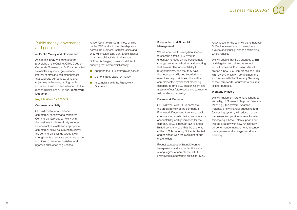#### Public money, governance and people

#### (a) Public Money and Governance

As a public body, we adhere to the provisions of the Cabinet Office Code on Corporate Governance. SLC is committed to maintaining sound governance, internal control and risk management that supports our policies, aims and objectives while safeguarding public funds and assets, in accordance with the responsibilities set out in our [Framework](https://assets.publishing.service.gov.uk/government/uploads/system/uploads/attachment_data/file/790468/slc-framework-document.pdf)  [Document](https://assets.publishing.service.gov.uk/government/uploads/system/uploads/attachment_data/file/790468/slc-framework-document.pdf).

#### Key Initiatives for 2020-21

#### Commercial activity

SLC will continue to enhance commercial capacity and capability. Commercial Services will work with the business to deliver timely services for contract renewals and appropriate commercial activities, striving to deliver the commercial savings target. It will strengthen its assurance and compliance functions to deliver a consistent and rigorous adherence to guidance.

A new Commercial Committee, chaired by the CFO and with membership from across the business, Cabinet Office and DfE, will provide early sight and challenge of commercial activity. It will support SLC in discharging its responsibilities for ensuring that commercial activity:

- supports the SLC strategic objectives
- **demonstrates value for money**
- $\blacksquare$  is compliant with the Framework **Document**

#### Forecasting and Financial Management

We will ensure that SLC operates within its delegated authorities, as set out in the Framework Document. We will embed a new SLC Compliance and Risk Framework, which will complement the joint review with the Company Secretary of the Framework Document to ensure it is fit for purpose.

We will continue to strengthen financial forecasting across SLC. Work is underway to focus on the considerable change programme budget and ensuring that there is clear accountability for budget holders, and that they have the necessary skills and knowledge to meet their responsibilities. This will be complemented by financial modelling capability to give SLC greater insight and analysis of our future costs and savings to aid our decision-making.

> We will implement further functionality to Workday, SLC's new Enterprise Resource Planning (ERP) system. Adaptive Insights, a new financial budgeting and forecasting system, will reduce manual processes and provide more automated forecasting. Phase 2 also supports our People Strategy with new functionality on performance management, absence management and strategic workforce planning.

Business Plan 2020-21



#### Framework Document

SLC will work with DfE to complete the annual review of the company's Framework Document, to ensure that it continues to provide clarity on ownership, accountability and governance for the company (SLC is both an NDPB and a limited company) and that the authority of the SLC Accounting Officer is clarified and balanced with the oversight of our shareholders.

Robust standards of financial control, transparency and accountability and a strong regime of compliance with the Framework Document is critical for SLC. A key focus for the year will be to increase SLC-wide awareness of the regime and provide additional guidance and training where required.

#### Workday Phase 2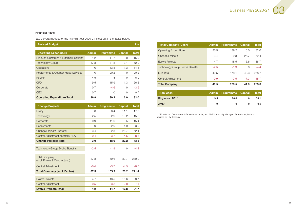#### Financial Plans

SLC's overall budget for the financial year 2020-21 is set out in the tables below.

| <b>Revised Budget</b><br>£m                    |              |                  |                |              |
|------------------------------------------------|--------------|------------------|----------------|--------------|
| <b>Operating Expenditure</b>                   | <b>Admin</b> | <b>Programme</b> | <b>Capital</b> | <b>Total</b> |
| Product, Customer & External Relations         | 4.2          | 11.7             | $\Omega$       | 15.9         |
| <b>Technology Group</b>                        | 17.3         | 31.3             | 3.4            | 52.0         |
| <b>Operations</b>                              | $\Omega$     | 63.3             | 1.3            | 64.6         |
| <b>Repayments &amp; Counter Fraud Services</b> | O            | 20.2             | $\Omega$       | 20.2         |
| People                                         | 4.5          | 1.5              | $\overline{O}$ | 6.0          |
| <b>CFO</b>                                     | 9.5          | 15.9             | 1.3            | 26.6         |
| Corporate                                      | 0.7          | $-4.6$           | $\Omega$       | $-3.9$       |
| <b>CEO</b>                                     | 0.7          | $\Omega$         | $\Omega$       | 0.7          |
| <b>Operating Expenditure Total</b>             | 36.9         | 139.2            | 6.0            | 182.0        |

| <b>Change Projects</b>                                 | <b>Admin</b> | <b>Programme</b> | <b>Capital</b> | <b>Total</b> |
|--------------------------------------------------------|--------------|------------------|----------------|--------------|
| Policy                                                 | 0            | 6.4              | 11.1           | 17.5         |
| <b>Technology</b>                                      | 2.5          | 2.9              | 10.2           | 15.6         |
| Corporate                                              | 0.9          | 11.0             | 3.5            | 15.4         |
| Repayments                                             | 0            | 2.0              | 1.9            | 3.9          |
| <b>Change Projects Subtotal</b>                        | 3.4          | 22.3             | 26.7           | 52.4         |
| Central Adjustment (formerly HLA)                      | $-0.4$       | $-3.7$           | $-4.5$         | $-8.6$       |
| <b>Change Projects Total</b>                           | 3.0          | 18.6             | 22.2           | 43.8         |
|                                                        |              |                  |                |              |
| <b>Technology Group Evolve Benefits</b>                | $-2.5$       | $-1.9$           | $\overline{O}$ | $-4.4$       |
|                                                        |              |                  |                |              |
| <b>Total Company</b><br>(excl. Evolve & Cent. Adjust.) | 37.8         | 159.6            | 32.7           | 230.0        |
| Central Adjustment                                     | $-0.4$       | $-3.7$           | $-4.5$         | $-8.6$       |
| <b>Total Company (excl. Evolve)</b>                    | 37.3         | 155.9            | 28.2           | 221.4        |
|                                                        |              |                  |                |              |
| <b>Evolve Projects</b>                                 | 4.7          | 18.5             | 15.6           | 38.7         |
| <b>Central Adjustment</b>                              | $-0.5$       | $-3.8$           | $-2.8$         | $-7.1$       |
| <b>Evolve Projects Total</b>                           | 4.2          | 14.7             | 12.8           | 31.7         |

| <b>Total Company (Cash)</b>             | <b>Admin</b> | Programme        | <b>Capital</b> | <b>Total</b> |
|-----------------------------------------|--------------|------------------|----------------|--------------|
| <b>Operating Expenditure</b>            | 36.9         | 139.2            | 6.0            | 182.0        |
| <b>Change Projects</b>                  | 3.4          | 22.3             | 26.7           | 52.4         |
| <b>Evolve Projects</b>                  | 4.7          | 18.5             | 15.6           | 38.7         |
| <b>Technology Group Evolve Benefits</b> | $-2.5$       | $-1.9$           | $\Omega$       | $-4.4$       |
| Sub Total                               | 42.5         | 178.1            | 48.3           | 268.7        |
| <b>Central Adjustment</b>               | $-0.9$       | $-7.5$           | $-7.3$         | $-15.7$      |
| <b>Total Company</b>                    | 41.5         | 170.5            | 41.0           | 253.0        |
|                                         |              |                  |                |              |
| <b>Non-Cash</b>                         | <b>Admin</b> | <b>Programme</b> | <b>Capital</b> | <b>Total</b> |

| <b>Non-Cash</b> |     | Admin Programme Capital Total |               |
|-----------------|-----|-------------------------------|---------------|
| Ringfenced DEL* | 9.5 | 28.6                          | 38.1          |
| AME*            |     |                               | $0.2^{\circ}$ |

\* DEL refers to Departmental Expenditure Limits, and AME is Annually Managed Expenditure, both as defined by HM Treasury.

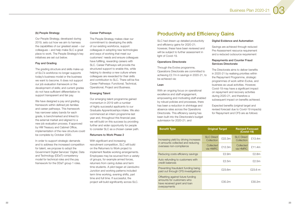#### <span id="page-11-0"></span>(b) People Strategy

Our People Strategy, developed during 2019, sets out how we aim to harness the capabilities of our greatest asset – our colleagues – and help make SLC a great place to work. The People Strategy's key initiatives are set out below.

#### Pay and Grading

The grading structure and skills make-up of SLC's workforce no longer supports today's business model or the business we want to become. It does not support our job evaluation framework or the development of skills; and current grades do not have sufficient differentiation to support transparent and fair pay.

We have designed a pay and grading framework within defined job families and career pathways. This framework has narrower salary bands for each grade, is benchmarked and linked to the external market and aligned to a new job evaluation process. If approved by HM Treasury and Cabinet Office, implementation of the new structure could be complete by October 2020.

In order to support strategic demands and to address the increased competition for talent, we propose to adopt the Government Digital Services' Digital, Data and Technology (DDaT) competency model for technical roles and the pay framework for the DDaT group 1 roles.

#### Career Pathways

The People Strategy makes clear our commitment to developing the skills of our existing workforce, support colleagues in adopting new technologies and ways of working that meet our customers' needs and ensure colleagues have fulfilling, rewarding careers with SLC. Career Pathways will provide the structured support to enable this, while helping to develop a new culture where colleagues are rewarded for their skills and contribution to SLC. There will be five Career Pathways: Functional, Technical, Operational, Project and Business.

#### Emerging Talent

Our emerging talent programme gained momentum in 2019 with a number of highly successful applicants to our Graduate Apprenticeships intake. We also commenced an intern programme last year and, throughout this financial year, we will build on this success by providing further and wider opportunity for people to consider SLC as a chosen career path.

#### Returners to Work Phase 2

With significant and increasing recruitment competition, SLC will build on the Returners to Work project to implement flexible working arrangements. Employees may be sourced from a variety of groups, for example armed forces, returners from caring duties and term time students. A pilot began at Llandudno Junction and working patterns included term time working, evening shifts, part time and full time. If successful, the project will build significantly across SLC.

## Productivity and Efficiency Gains

SLC had drawn up detailed productivity and efficiency gains for 2020-21; however, these have been reviewed and will be subject to further assessment in light of Covid-19.

#### Operations Directorate

Through the Evolve programme, Operations Directorate are committed to achieving £2.7m in savings in 2020-21, to be achieved via:

#### Lean

With an ongoing focus on operational excellence and staff engagement, empowering and motivating staff enabled by robust policies and processes, there has been a reduction in shrinkage and absence rates across the Operations Directorate. This efficiency saving has been built into the Directorate's budget submission for 2020-21; and

#### Digital Evidence and Automation

Savings are achieved through reduced Pre-Assessment resource requirement and a reduced outsource requirement

#### Repayments and Counter Fraud Services Directorate

The Directorate aims to deliver benefits in 2020-21 by realising priorities within the Repayment Programme, strategic programmes of work within Evolve, and business as usual activities. However, Covid-19 may have a significant impact on repayment and recovery activities during 2020-21, and therefore a subsequent impact on benefits achieved.

Expected benefits (original target and revised forecast due to Covid-19 impacts) for Repayment and CFS are as follows:

| <b>Benefit Type</b>                                                                                            | <b>Original Target</b>          |        | <b>Revised Forecast</b><br>(Covid-19) |        |
|----------------------------------------------------------------------------------------------------------------|---------------------------------|--------|---------------------------------------|--------|
| Increasing yield by driving increases<br>in amounts collected and reducing<br>overseas non-compliance          | <b>SLC Direct</b><br>Collection | £22.3m | <b>SLC Direct</b><br>Collection       | £13.4m |
|                                                                                                                | Collected<br>via HMRC           | £12.3m | Collected<br>via HMRC                 | £11.4m |
| Reducing costs efficiency savings                                                                              |                                 | £2.9m  |                                       | £2.8m  |
| Auto refunding to customers with<br>credit balances                                                            | £2.5m                           |        | £2.5m                                 |        |
| Preventing fraudulent funding being<br>paid out through CFS investigations                                     | £23.6m                          |        | £23.6 m                               |        |
| Offsetting against future funding<br>amounts for customers who<br>have received grant and loan<br>overpayments |                                 | £30.2m |                                       | £30.2m |

Business Plan 2020-21

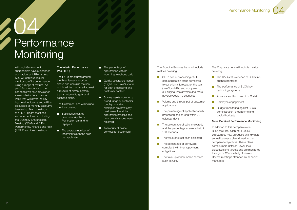# <span id="page-12-0"></span>04 **Performance Monitoring**

Although Government shareholders have suspended our traditional APRA targets, SLC will continue regular monitoring of its performance using a range of metrics. As part of our response to the pandemic we have developed a new Interim Performance Pack that will cover the key high level indicators and will be discussed at monthly Executive Leadership Team meetings, at all SLC Board meetings and at other forums including the Quarterly Shareholders Meeting (QSM) and DfE's Performance, Finance and Risk (PFR) Committee meetings.

- Satisfaction survey results for Apply-to-Pay customers and for repayers
- The average number of incoming telephone calls per application

#### The Interim Performance Pack (IPP)

- **The percentage of** applications with no incoming telephone calls
- **Quality assurance ratings** ("Right First Time") scores for both processing and customer contact
- Survey results covering a broad range of customer touch points (two examples are how easy customers found the application process and how quickly issues were resolved)
- **Availability of online** services for customers

The IPP is structured around the three lenses described above and contains metrics which will be monitored against a mixture of previous years' trends, internal targets and scenario plans.

The Customer Lens will include metrics covering:

- SLC's actual processing of SFE core application tasks compared to our original forecast for the year (pre-Covid-19); and compared to our original less adverse and more adverse Covid-19 scenarios
- $\Box$ Volume and throughput of customer applications
- The percentage of applications fully  $\overline{\phantom{a}}$ processed end-to-end within 70 calendar days
- $\blacksquare$  The percentage of calls answered, and the percentage answered within 180 seconds
- The value of direct cash collected
- The percentage of borrowers  $\mathcal{L}^{\mathcal{L}}$ compliant with their repayment obligations
- The take-up of new online services  $\overline{\phantom{a}}$ such as ORS

The RAG status of each of SLC's five change portfolios

The Frontline Services Lens will include metrics covering:

The Corporate Lens will include metrics

covering:

- 
- $\mathcal{L}_{\mathcal{A}}$
- $\mathcal{L}^{\mathcal{L}}$
- П  $\Box$
- 

The performance of SLC's key technology systems

Absence and turnover of SLC staff

Employee engagement

Budget monitoring against SLC's administration, programme and capital budgets

#### More Detailed Performance Monitoring

In addition to this company-wide Business Plan, each of SLC's six Directorates now produces an individual annual business plan aligned to the company's objectives. These plans contain more detailed, lower-level objectives and targets and are monitored through SLC's Quarterly Business Review meetings attended by all senior managers.